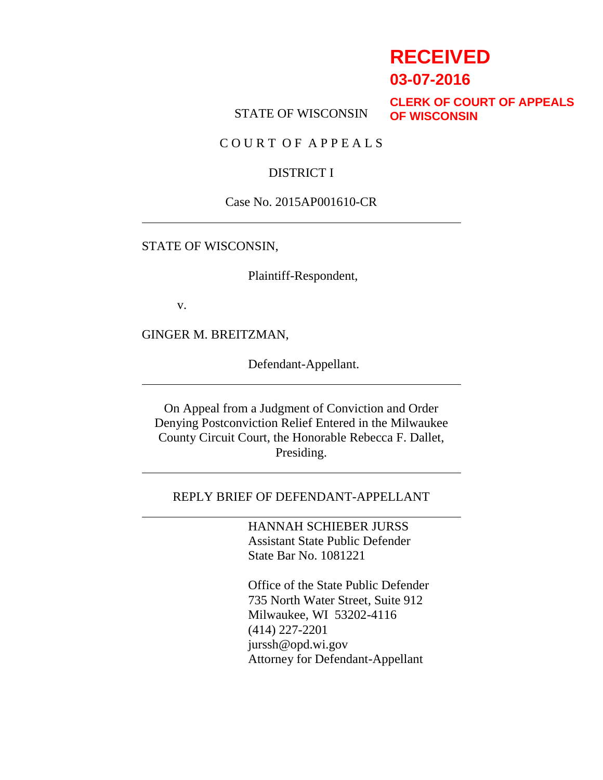# **RECEIVED**

**03-07-2016**

STATE OF WISCONSIN

**CLERK OF COURT OF APPEALS OF WISCONSIN**

C O U R T O F A P P E A L S

### DISTRICT I

#### Case No. 2015AP001610-CR

#### STATE OF WISCONSIN,

Plaintiff-Respondent,

v.

GINGER M. BREITZMAN,

Defendant-Appellant.

On Appeal from a Judgment of Conviction and Order Denying Postconviction Relief Entered in the Milwaukee County Circuit Court, the Honorable Rebecca F. Dallet, Presiding.

#### REPLY BRIEF OF DEFENDANT-APPELLANT

HANNAH SCHIEBER JURSS Assistant State Public Defender State Bar No. 1081221

Office of the State Public Defender 735 North Water Street, Suite 912 Milwaukee, WI 53202-4116 (414) 227-2201 jurssh@opd.wi.gov Attorney for Defendant-Appellant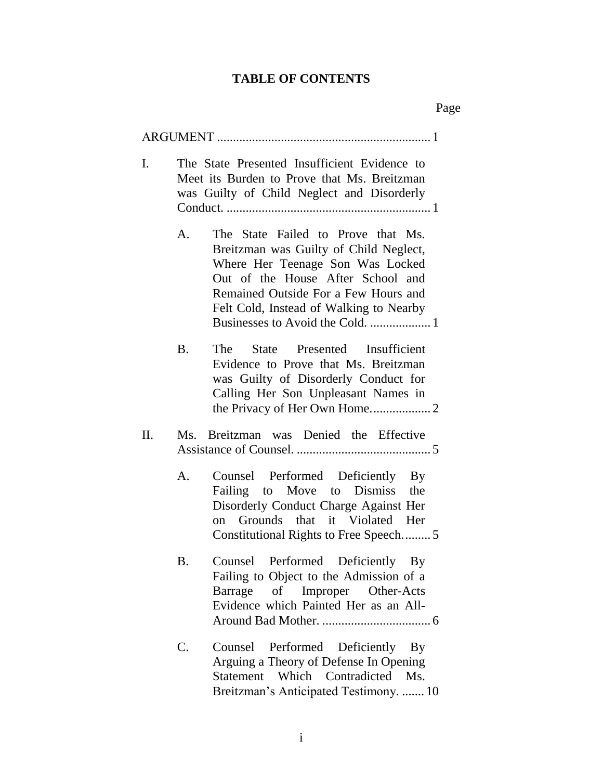# **TABLE OF CONTENTS**

| I. |                | The State Presented Insufficient Evidence to<br>Meet its Burden to Prove that Ms. Breitzman<br>was Guilty of Child Neglect and Disorderly                                                                                                |
|----|----------------|------------------------------------------------------------------------------------------------------------------------------------------------------------------------------------------------------------------------------------------|
|    | A.             | The State Failed to Prove that Ms.<br>Breitzman was Guilty of Child Neglect,<br>Where Her Teenage Son Was Locked<br>Out of the House After School and<br>Remained Outside For a Few Hours and<br>Felt Cold, Instead of Walking to Nearby |
|    | <b>B.</b>      | The State Presented Insufficient<br>Evidence to Prove that Ms. Breitzman<br>was Guilty of Disorderly Conduct for<br>Calling Her Son Unpleasant Names in                                                                                  |
| П. | Ms             | Breitzman was Denied the Effective                                                                                                                                                                                                       |
|    | A.             | Counsel Performed Deficiently By<br>Failing to Move to Dismiss the<br>Disorderly Conduct Charge Against Her<br>on Grounds that it Violated Her<br>Constitutional Rights to Free Speech5                                                  |
|    | B.             | Counsel Performed Deficiently By<br>Failing to Object to the Admission of a<br>Barrage of Improper Other-Acts<br>Evidence which Painted Her as an All-                                                                                   |
|    | $\mathbf{C}$ . | Counsel<br>Performed Deficiently By<br>Arguing a Theory of Defense In Opening<br>Statement Which Contradicted Ms.<br>Breitzman's Anticipated Testimony.  10                                                                              |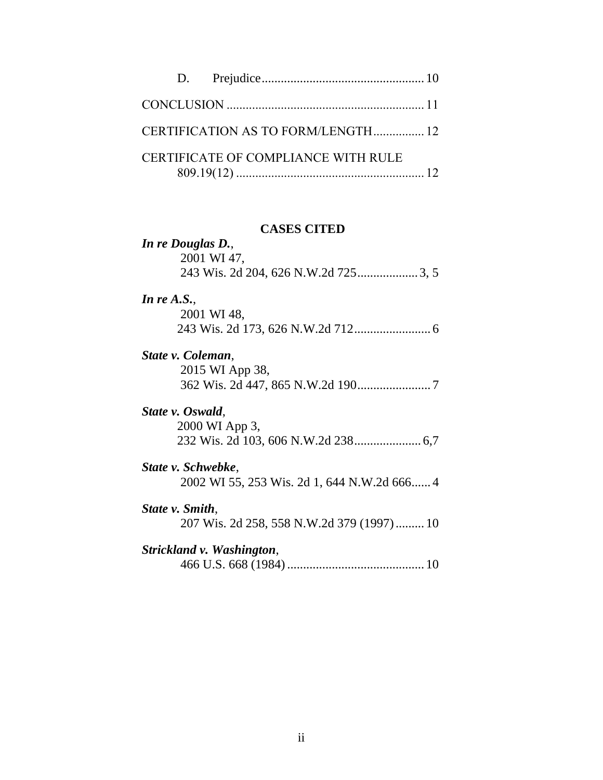|  | CERTIFICATION AS TO FORM/LENGTH 12  |  |
|--|-------------------------------------|--|
|  | CERTIFICATE OF COMPLIANCE WITH RULE |  |

#### **CASES CITED**

# *In re Douglas D.*, 2001 WI 47, 243 Wis. 2d 204, 626 N.W.2d 725................... 3, 5

#### *In re A.S.*,

| 2001 WI 48, |  |
|-------------|--|
|             |  |

#### *State v. Coleman*,

2015 WI App 38, 362 Wis. 2d 447, 865 N.W.2d 190....................... 7

#### *State v. Oswald*,

2000 WI App 3, 232 Wis. 2d 103, 606 N.W.2d 238..................... 6,7

# *State v. Schwebke*,

2002 WI 55, 253 Wis. 2d 1, 644 N.W.2d 666...... 4

## *State v. Smith*,

207 Wis. 2d 258, 558 N.W.2d 379 (1997)......... 10

# *Strickland v. Washington*,

466 U.S. 668 (1984)........................................... 10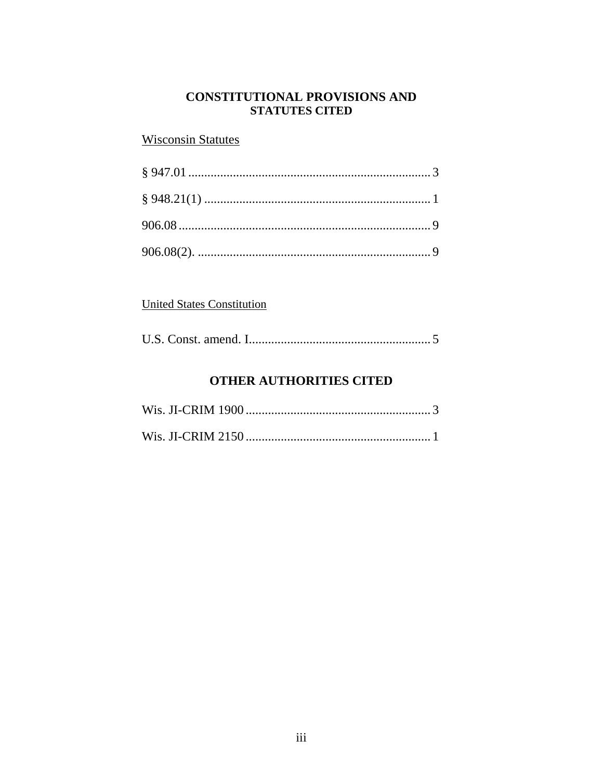## **CONSTITUTIONAL PROVISIONS AND STATUTES CITED**

# **Wisconsin Statutes**

# **United States Constitution**

|--|--|

# **OTHER AUTHORITIES CITED**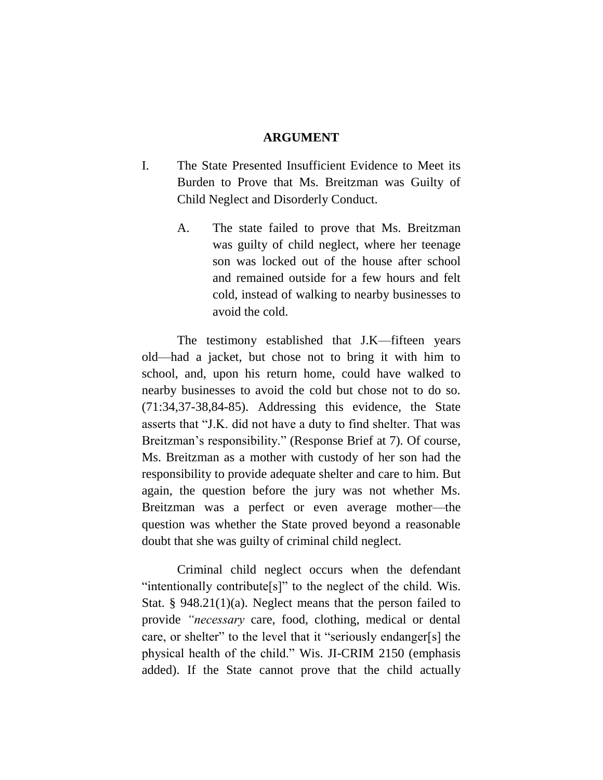#### **ARGUMENT**

- I. The State Presented Insufficient Evidence to Meet its Burden to Prove that Ms. Breitzman was Guilty of Child Neglect and Disorderly Conduct.
	- A. The state failed to prove that Ms. Breitzman was guilty of child neglect, where her teenage son was locked out of the house after school and remained outside for a few hours and felt cold, instead of walking to nearby businesses to avoid the cold.

The testimony established that J.K—fifteen years old—had a jacket, but chose not to bring it with him to school, and, upon his return home, could have walked to nearby businesses to avoid the cold but chose not to do so. (71:34,37-38,84-85). Addressing this evidence, the State asserts that "J.K. did not have a duty to find shelter. That was Breitzman's responsibility." (Response Brief at 7). Of course, Ms. Breitzman as a mother with custody of her son had the responsibility to provide adequate shelter and care to him. But again, the question before the jury was not whether Ms. Breitzman was a perfect or even average mother—the question was whether the State proved beyond a reasonable doubt that she was guilty of criminal child neglect.

Criminal child neglect occurs when the defendant "intentionally contribute[s]" to the neglect of the child. Wis. Stat. § 948.21(1)(a). Neglect means that the person failed to provide *"necessary* care, food, clothing, medical or dental care, or shelter" to the level that it "seriously endanger[s] the physical health of the child." Wis. JI-CRIM 2150 (emphasis added). If the State cannot prove that the child actually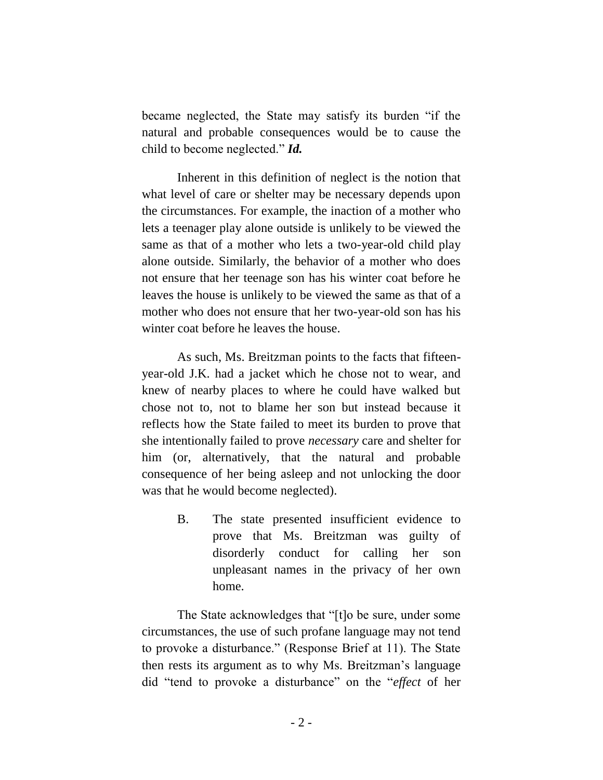became neglected, the State may satisfy its burden "if the natural and probable consequences would be to cause the child to become neglected." *Id.*

Inherent in this definition of neglect is the notion that what level of care or shelter may be necessary depends upon the circumstances. For example, the inaction of a mother who lets a teenager play alone outside is unlikely to be viewed the same as that of a mother who lets a two-year-old child play alone outside. Similarly, the behavior of a mother who does not ensure that her teenage son has his winter coat before he leaves the house is unlikely to be viewed the same as that of a mother who does not ensure that her two-year-old son has his winter coat before he leaves the house.

As such, Ms. Breitzman points to the facts that fifteenyear-old J.K. had a jacket which he chose not to wear, and knew of nearby places to where he could have walked but chose not to, not to blame her son but instead because it reflects how the State failed to meet its burden to prove that she intentionally failed to prove *necessary* care and shelter for him (or, alternatively, that the natural and probable consequence of her being asleep and not unlocking the door was that he would become neglected).

> B. The state presented insufficient evidence to prove that Ms. Breitzman was guilty of disorderly conduct for calling her son unpleasant names in the privacy of her own home.

The State acknowledges that "[t]o be sure, under some circumstances, the use of such profane language may not tend to provoke a disturbance." (Response Brief at 11). The State then rests its argument as to why Ms. Breitzman's language did "tend to provoke a disturbance" on the "*effect* of her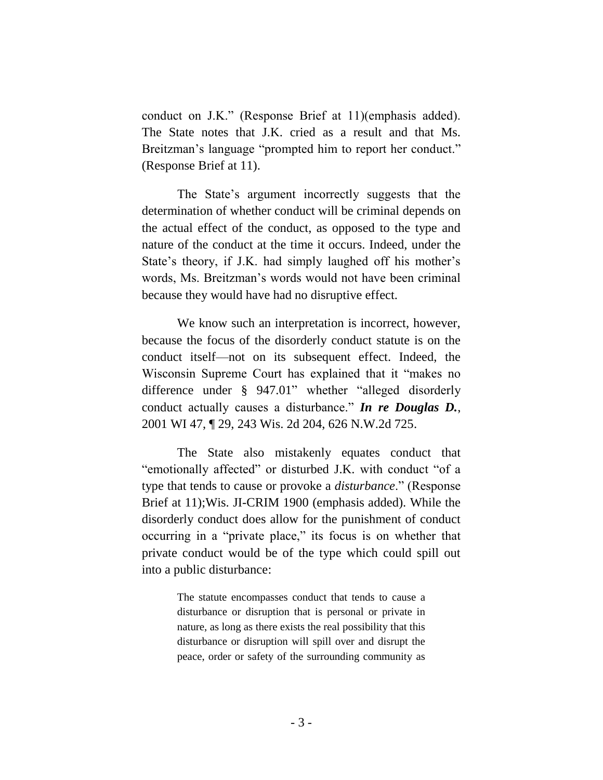conduct on J.K." (Response Brief at 11)(emphasis added). The State notes that J.K. cried as a result and that Ms. Breitzman's language "prompted him to report her conduct." (Response Brief at 11).

The State's argument incorrectly suggests that the determination of whether conduct will be criminal depends on the actual effect of the conduct, as opposed to the type and nature of the conduct at the time it occurs. Indeed, under the State's theory, if J.K. had simply laughed off his mother's words, Ms. Breitzman's words would not have been criminal because they would have had no disruptive effect.

We know such an interpretation is incorrect, however, because the focus of the disorderly conduct statute is on the conduct itself—not on its subsequent effect. Indeed, the Wisconsin Supreme Court has explained that it "makes no difference under § 947.01" whether "alleged disorderly conduct actually causes a disturbance." *In re Douglas D.*, 2001 WI 47, ¶ 29, 243 Wis. 2d 204, 626 N.W.2d 725.

The State also mistakenly equates conduct that "emotionally affected" or disturbed J.K. with conduct "of a type that tends to cause or provoke a *disturbance*." (Response Brief at 11);Wis. JI-CRIM 1900 (emphasis added). While the disorderly conduct does allow for the punishment of conduct occurring in a "private place," its focus is on whether that private conduct would be of the type which could spill out into a public disturbance:

> The statute encompasses conduct that tends to cause a disturbance or disruption that is personal or private in nature, as long as there exists the real possibility that this disturbance or disruption will spill over and disrupt the peace, order or safety of the surrounding community as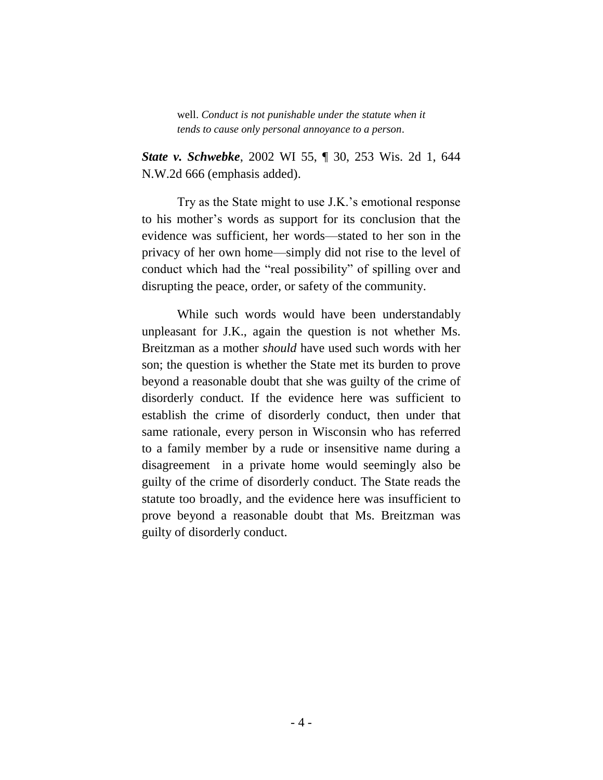well. *Conduct is not punishable under the statute when it tends to cause only personal annoyance to a person*.

*State v. Schwebke*, 2002 WI 55, ¶ 30, 253 Wis. 2d 1, 644 N.W.2d 666 (emphasis added).

Try as the State might to use J.K.'s emotional response to his mother's words as support for its conclusion that the evidence was sufficient, her words—stated to her son in the privacy of her own home—simply did not rise to the level of conduct which had the "real possibility" of spilling over and disrupting the peace, order, or safety of the community.

While such words would have been understandably unpleasant for J.K., again the question is not whether Ms. Breitzman as a mother *should* have used such words with her son; the question is whether the State met its burden to prove beyond a reasonable doubt that she was guilty of the crime of disorderly conduct. If the evidence here was sufficient to establish the crime of disorderly conduct, then under that same rationale, every person in Wisconsin who has referred to a family member by a rude or insensitive name during a disagreement in a private home would seemingly also be guilty of the crime of disorderly conduct. The State reads the statute too broadly, and the evidence here was insufficient to prove beyond a reasonable doubt that Ms. Breitzman was guilty of disorderly conduct.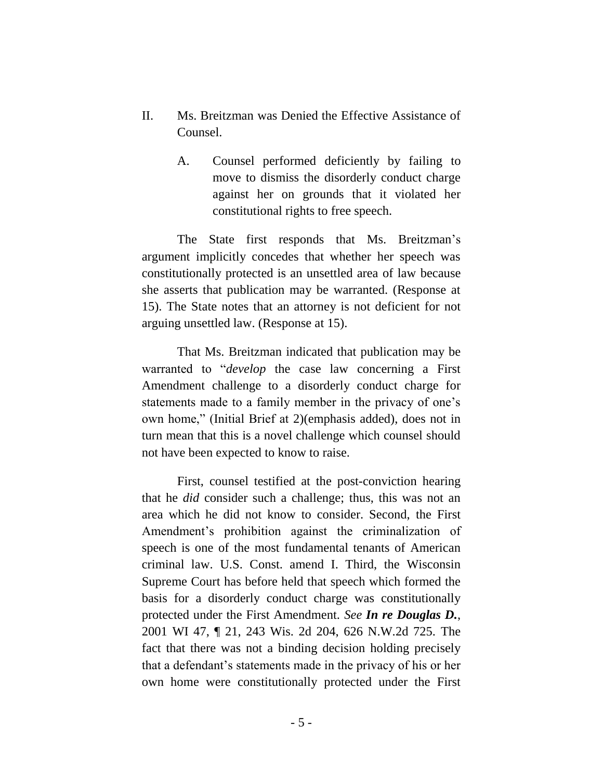- II. Ms. Breitzman was Denied the Effective Assistance of Counsel.
	- A. Counsel performed deficiently by failing to move to dismiss the disorderly conduct charge against her on grounds that it violated her constitutional rights to free speech.

The State first responds that Ms. Breitzman's argument implicitly concedes that whether her speech was constitutionally protected is an unsettled area of law because she asserts that publication may be warranted. (Response at 15). The State notes that an attorney is not deficient for not arguing unsettled law. (Response at 15).

That Ms. Breitzman indicated that publication may be warranted to "*develop* the case law concerning a First Amendment challenge to a disorderly conduct charge for statements made to a family member in the privacy of one's own home," (Initial Brief at 2)(emphasis added), does not in turn mean that this is a novel challenge which counsel should not have been expected to know to raise.

First, counsel testified at the post-conviction hearing that he *did* consider such a challenge; thus, this was not an area which he did not know to consider. Second, the First Amendment's prohibition against the criminalization of speech is one of the most fundamental tenants of American criminal law. U.S. Const. amend I. Third, the Wisconsin Supreme Court has before held that speech which formed the basis for a disorderly conduct charge was constitutionally protected under the First Amendment. *See In re Douglas D.*, 2001 WI 47, ¶ 21, 243 Wis. 2d 204, 626 N.W.2d 725. The fact that there was not a binding decision holding precisely that a defendant's statements made in the privacy of his or her own home were constitutionally protected under the First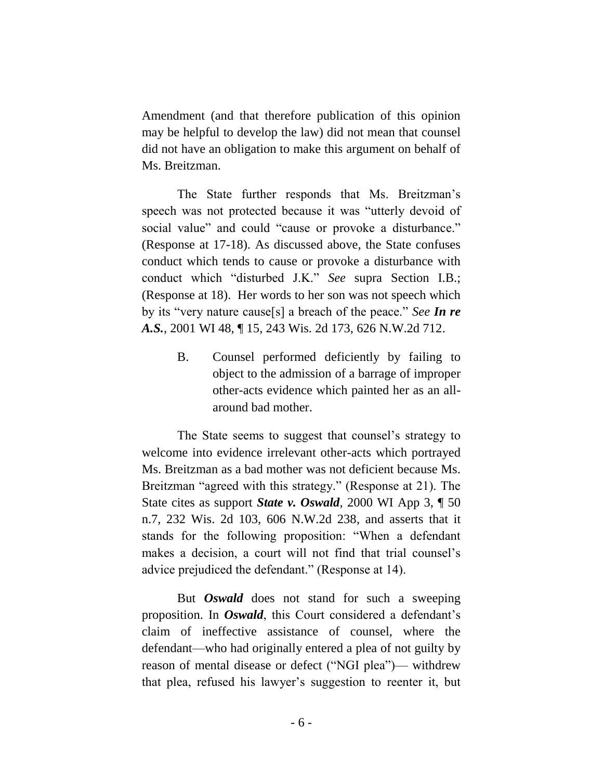Amendment (and that therefore publication of this opinion may be helpful to develop the law) did not mean that counsel did not have an obligation to make this argument on behalf of Ms. Breitzman.

The State further responds that Ms. Breitzman's speech was not protected because it was "utterly devoid of social value" and could "cause or provoke a disturbance." (Response at 17-18). As discussed above, the State confuses conduct which tends to cause or provoke a disturbance with conduct which "disturbed J.K." *See* supra Section I.B.; (Response at 18). Her words to her son was not speech which by its "very nature cause[s] a breach of the peace." *See In re A.S.*, 2001 WI 48, ¶ 15, 243 Wis. 2d 173, 626 N.W.2d 712.

> B. Counsel performed deficiently by failing to object to the admission of a barrage of improper other-acts evidence which painted her as an allaround bad mother.

The State seems to suggest that counsel's strategy to welcome into evidence irrelevant other-acts which portrayed Ms. Breitzman as a bad mother was not deficient because Ms. Breitzman "agreed with this strategy." (Response at 21). The State cites as support *State v. Oswald*, 2000 WI App 3, ¶ 50 n.7, 232 Wis. 2d 103, 606 N.W.2d 238, and asserts that it stands for the following proposition: "When a defendant makes a decision, a court will not find that trial counsel's advice prejudiced the defendant." (Response at 14).

But *Oswald* does not stand for such a sweeping proposition. In *Oswald*, this Court considered a defendant's claim of ineffective assistance of counsel, where the defendant—who had originally entered a plea of not guilty by reason of mental disease or defect ("NGI plea")— withdrew that plea, refused his lawyer's suggestion to reenter it, but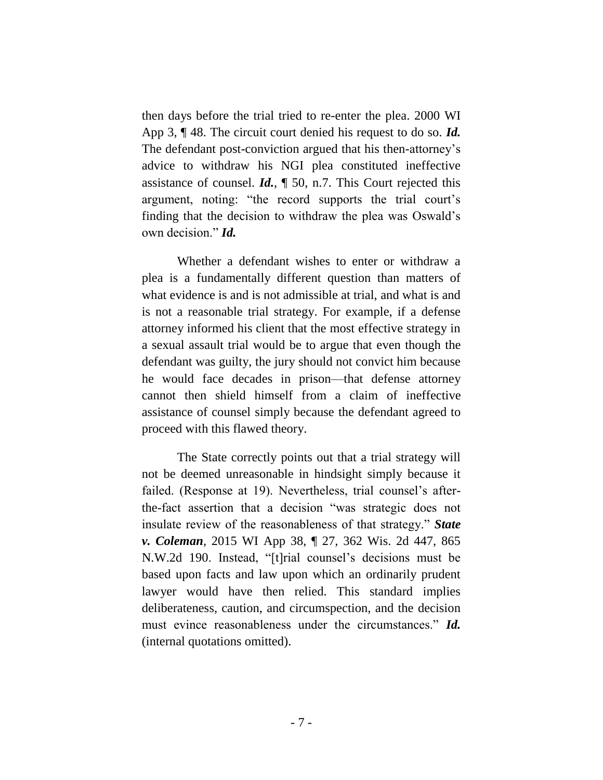then days before the trial tried to re-enter the plea. 2000 WI App 3, ¶ 48. The circuit court denied his request to do so. *Id.* The defendant post-conviction argued that his then-attorney's advice to withdraw his NGI plea constituted ineffective assistance of counsel. *Id.*, ¶ 50, n.7. This Court rejected this argument, noting: "the record supports the trial court's finding that the decision to withdraw the plea was Oswald's own decision." *Id.*

Whether a defendant wishes to enter or withdraw a plea is a fundamentally different question than matters of what evidence is and is not admissible at trial, and what is and is not a reasonable trial strategy. For example, if a defense attorney informed his client that the most effective strategy in a sexual assault trial would be to argue that even though the defendant was guilty, the jury should not convict him because he would face decades in prison—that defense attorney cannot then shield himself from a claim of ineffective assistance of counsel simply because the defendant agreed to proceed with this flawed theory.

The State correctly points out that a trial strategy will not be deemed unreasonable in hindsight simply because it failed. (Response at 19). Nevertheless, trial counsel's afterthe-fact assertion that a decision "was strategic does not insulate review of the reasonableness of that strategy." *State v. Coleman*, 2015 WI App 38, ¶ 27, 362 Wis. 2d 447, 865 N.W.2d 190. Instead, "[t]rial counsel's decisions must be based upon facts and law upon which an ordinarily prudent lawyer would have then relied. This standard implies deliberateness, caution, and circumspection, and the decision must evince reasonableness under the circumstances." *Id.* (internal quotations omitted).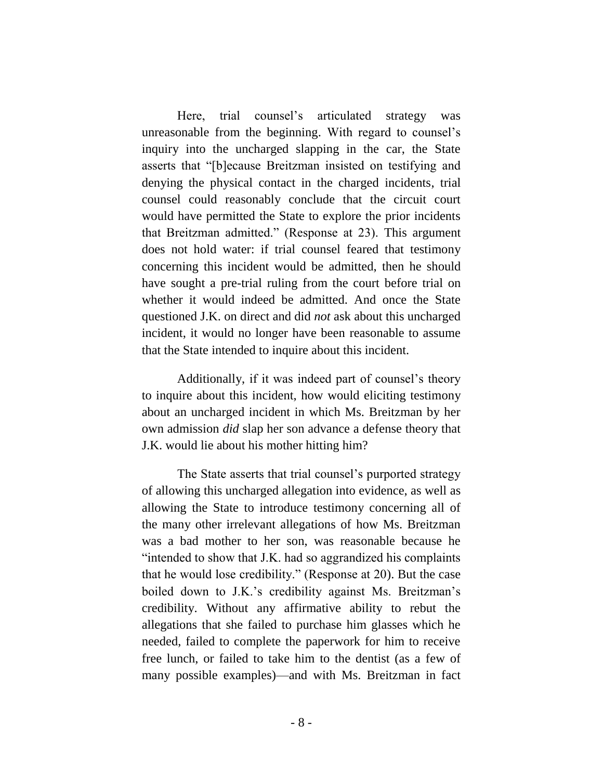Here, trial counsel's articulated strategy was unreasonable from the beginning. With regard to counsel's inquiry into the uncharged slapping in the car, the State asserts that "[b]ecause Breitzman insisted on testifying and denying the physical contact in the charged incidents, trial counsel could reasonably conclude that the circuit court would have permitted the State to explore the prior incidents that Breitzman admitted." (Response at 23). This argument does not hold water: if trial counsel feared that testimony concerning this incident would be admitted, then he should have sought a pre-trial ruling from the court before trial on whether it would indeed be admitted. And once the State questioned J.K. on direct and did *not* ask about this uncharged incident, it would no longer have been reasonable to assume that the State intended to inquire about this incident.

Additionally, if it was indeed part of counsel's theory to inquire about this incident, how would eliciting testimony about an uncharged incident in which Ms. Breitzman by her own admission *did* slap her son advance a defense theory that J.K. would lie about his mother hitting him?

The State asserts that trial counsel's purported strategy of allowing this uncharged allegation into evidence, as well as allowing the State to introduce testimony concerning all of the many other irrelevant allegations of how Ms. Breitzman was a bad mother to her son, was reasonable because he "intended to show that J.K. had so aggrandized his complaints that he would lose credibility." (Response at 20). But the case boiled down to J.K.'s credibility against Ms. Breitzman's credibility. Without any affirmative ability to rebut the allegations that she failed to purchase him glasses which he needed, failed to complete the paperwork for him to receive free lunch, or failed to take him to the dentist (as a few of many possible examples)—and with Ms. Breitzman in fact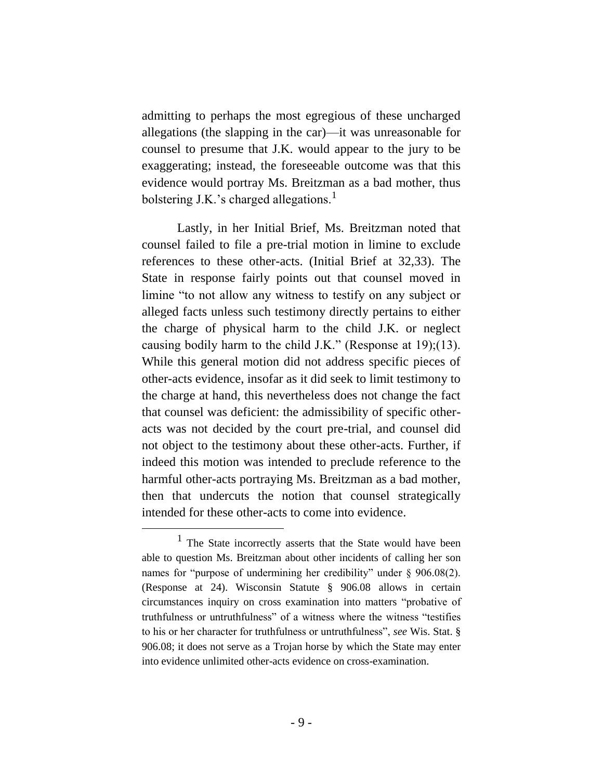admitting to perhaps the most egregious of these uncharged allegations (the slapping in the car)—it was unreasonable for counsel to presume that J.K. would appear to the jury to be exaggerating; instead, the foreseeable outcome was that this evidence would portray Ms. Breitzman as a bad mother, thus bolstering J.K.'s charged allegations. $<sup>1</sup>$ </sup>

Lastly, in her Initial Brief, Ms. Breitzman noted that counsel failed to file a pre-trial motion in limine to exclude references to these other-acts. (Initial Brief at 32,33). The State in response fairly points out that counsel moved in limine "to not allow any witness to testify on any subject or alleged facts unless such testimony directly pertains to either the charge of physical harm to the child J.K. or neglect causing bodily harm to the child J.K." (Response at 19);(13). While this general motion did not address specific pieces of other-acts evidence, insofar as it did seek to limit testimony to the charge at hand, this nevertheless does not change the fact that counsel was deficient: the admissibility of specific otheracts was not decided by the court pre-trial, and counsel did not object to the testimony about these other-acts. Further, if indeed this motion was intended to preclude reference to the harmful other-acts portraying Ms. Breitzman as a bad mother, then that undercuts the notion that counsel strategically intended for these other-acts to come into evidence.

<sup>&</sup>lt;sup>1</sup> The State incorrectly asserts that the State would have been able to question Ms. Breitzman about other incidents of calling her son names for "purpose of undermining her credibility" under § 906.08(2). (Response at 24). Wisconsin Statute § 906.08 allows in certain circumstances inquiry on cross examination into matters "probative of truthfulness or untruthfulness" of a witness where the witness "testifies to his or her character for truthfulness or untruthfulness", *see* Wis. Stat. § 906.08; it does not serve as a Trojan horse by which the State may enter into evidence unlimited other-acts evidence on cross-examination.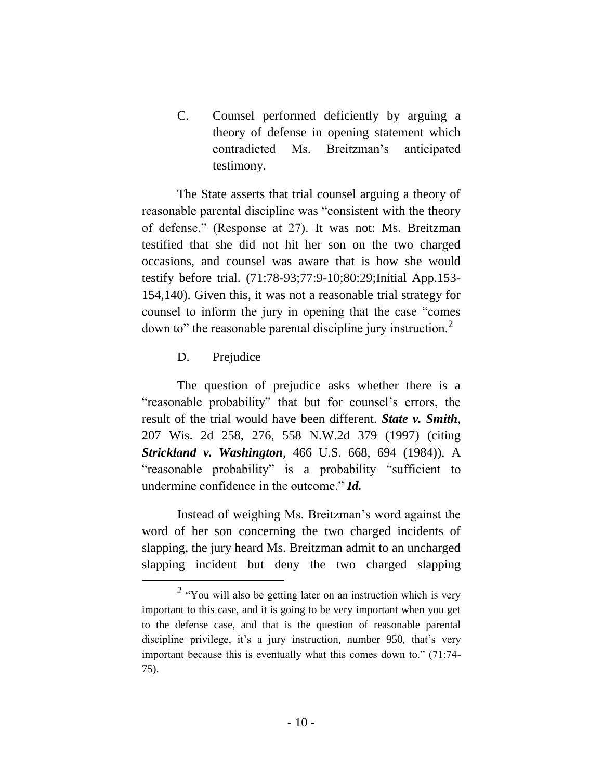C. Counsel performed deficiently by arguing a theory of defense in opening statement which contradicted Ms. Breitzman's anticipated testimony.

The State asserts that trial counsel arguing a theory of reasonable parental discipline was "consistent with the theory of defense." (Response at 27). It was not: Ms. Breitzman testified that she did not hit her son on the two charged occasions, and counsel was aware that is how she would testify before trial. (71:78-93;77:9-10;80:29;Initial App.153- 154,140). Given this, it was not a reasonable trial strategy for counsel to inform the jury in opening that the case "comes down to" the reasonable parental discipline jury instruction.<sup>2</sup>

# D. Prejudice

 $\overline{a}$ 

The question of prejudice asks whether there is a "reasonable probability" that but for counsel's errors, the result of the trial would have been different. *State v. Smith*, 207 Wis. 2d 258, 276, 558 N.W.2d 379 (1997) (citing *Strickland v. Washington*, 466 U.S. 668, 694 (1984)). A "reasonable probability" is a probability "sufficient to undermine confidence in the outcome." *Id.*

Instead of weighing Ms. Breitzman's word against the word of her son concerning the two charged incidents of slapping, the jury heard Ms. Breitzman admit to an uncharged slapping incident but deny the two charged slapping

 $2 \text{``You will also be getting later on an instruction which is very}$ important to this case, and it is going to be very important when you get to the defense case, and that is the question of reasonable parental discipline privilege, it's a jury instruction, number 950, that's very important because this is eventually what this comes down to." (71:74- 75).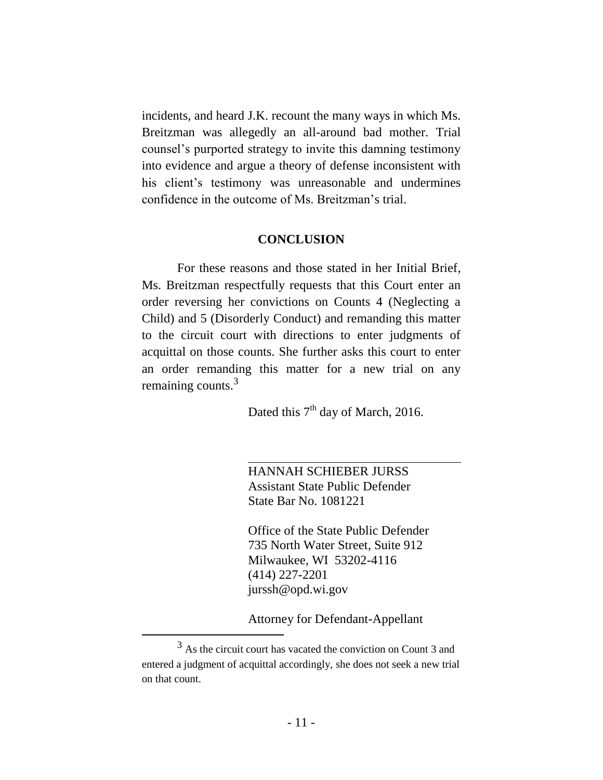incidents, and heard J.K. recount the many ways in which Ms. Breitzman was allegedly an all-around bad mother. Trial counsel's purported strategy to invite this damning testimony into evidence and argue a theory of defense inconsistent with his client's testimony was unreasonable and undermines confidence in the outcome of Ms. Breitzman's trial.

#### **CONCLUSION**

For these reasons and those stated in her Initial Brief, Ms. Breitzman respectfully requests that this Court enter an order reversing her convictions on Counts 4 (Neglecting a Child) and 5 (Disorderly Conduct) and remanding this matter to the circuit court with directions to enter judgments of acquittal on those counts. She further asks this court to enter an order remanding this matter for a new trial on any remaining counts. $3$ 

Dated this  $7<sup>th</sup>$  day of March, 2016.

HANNAH SCHIEBER JURSS Assistant State Public Defender State Bar No. 1081221

Office of the State Public Defender 735 North Water Street, Suite 912 Milwaukee, WI 53202-4116 (414) 227-2201 jurssh@opd.wi.gov

Attorney for Defendant-Appellant

<sup>3</sup> As the circuit court has vacated the conviction on Count 3 and entered a judgment of acquittal accordingly, she does not seek a new trial on that count.